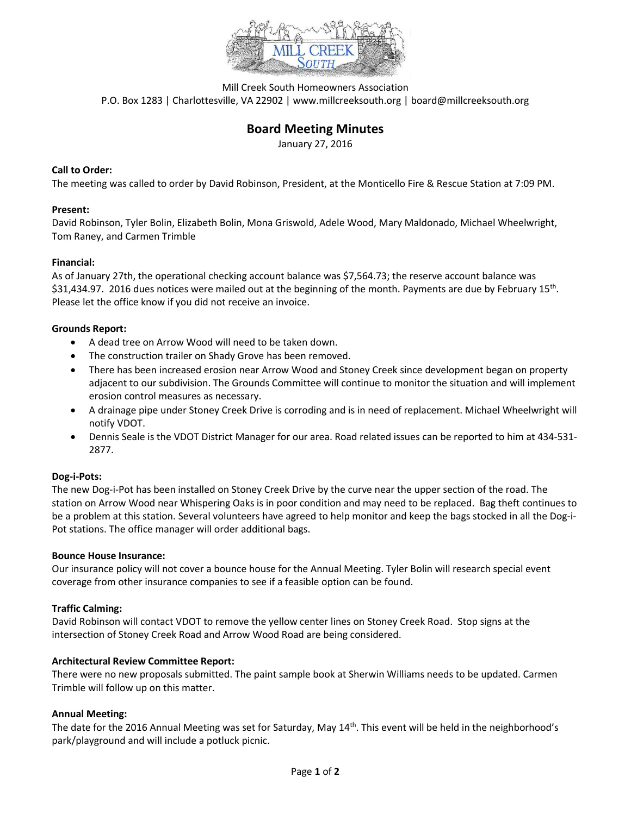

Mill Creek South Homeowners Association P.O. Box 1283 | Charlottesville, VA 22902 | www.millcreeksouth.org | board@millcreeksouth.org

# **Board Meeting Minutes**

January 27, 2016

## **Call to Order:**

The meeting was called to order by David Robinson, President, at the Monticello Fire & Rescue Station at 7:09 PM.

#### **Present:**

David Robinson, Tyler Bolin, Elizabeth Bolin, Mona Griswold, Adele Wood, Mary Maldonado, Michael Wheelwright, Tom Raney, and Carmen Trimble

## **Financial:**

As of January 27th, the operational checking account balance was \$7,564.73; the reserve account balance was \$31,434.97. 2016 dues notices were mailed out at the beginning of the month. Payments are due by February 15<sup>th</sup>. Please let the office know if you did not receive an invoice.

## **Grounds Report:**

- A dead tree on Arrow Wood will need to be taken down.
- The construction trailer on Shady Grove has been removed.
- There has been increased erosion near Arrow Wood and Stoney Creek since development began on property adjacent to our subdivision. The Grounds Committee will continue to monitor the situation and will implement erosion control measures as necessary.
- A drainage pipe under Stoney Creek Drive is corroding and is in need of replacement. Michael Wheelwright will notify VDOT.
- Dennis Seale is the VDOT District Manager for our area. Road related issues can be reported to him at 434-531- 2877.

#### **Dog-i-Pots:**

The new Dog-i-Pot has been installed on Stoney Creek Drive by the curve near the upper section of the road. The station on Arrow Wood near Whispering Oaks is in poor condition and may need to be replaced. Bag theft continues to be a problem at this station. Several volunteers have agreed to help monitor and keep the bags stocked in all the Dog-i-Pot stations. The office manager will order additional bags.

#### **Bounce House Insurance:**

Our insurance policy will not cover a bounce house for the Annual Meeting. Tyler Bolin will research special event coverage from other insurance companies to see if a feasible option can be found.

#### **Traffic Calming:**

David Robinson will contact VDOT to remove the yellow center lines on Stoney Creek Road. Stop signs at the intersection of Stoney Creek Road and Arrow Wood Road are being considered.

#### **Architectural Review Committee Report:**

There were no new proposals submitted. The paint sample book at Sherwin Williams needs to be updated. Carmen Trimble will follow up on this matter.

#### **Annual Meeting:**

The date for the 2016 Annual Meeting was set for Saturday, May 14<sup>th</sup>. This event will be held in the neighborhood's park/playground and will include a potluck picnic.